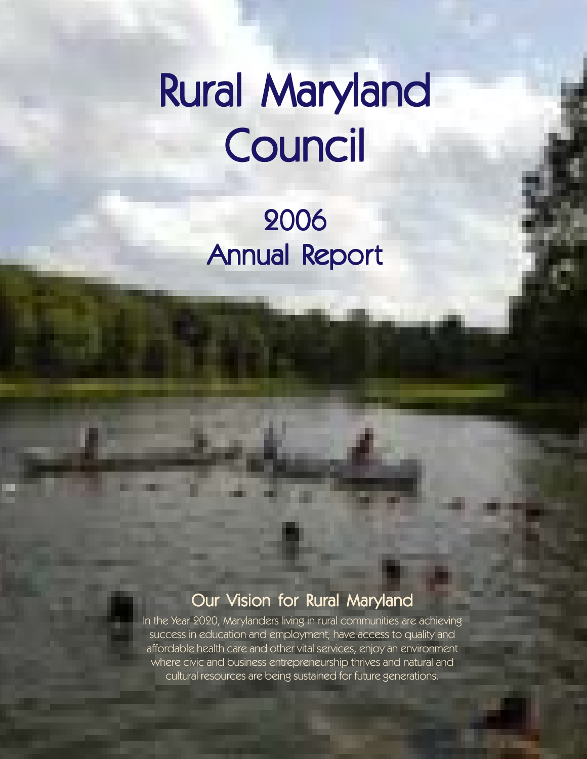# Rural Maryland Council

2006 Annual Report

### Our Vision for Rural Maryland

In the Year 2020, Marylanders living in rural communities are achieving success in education and employment, have access to quality and affordable health care and other vital services, enjoy an environment where civic and business entrepreneurship thrives and natural and cultural resources are being sustained for future generations.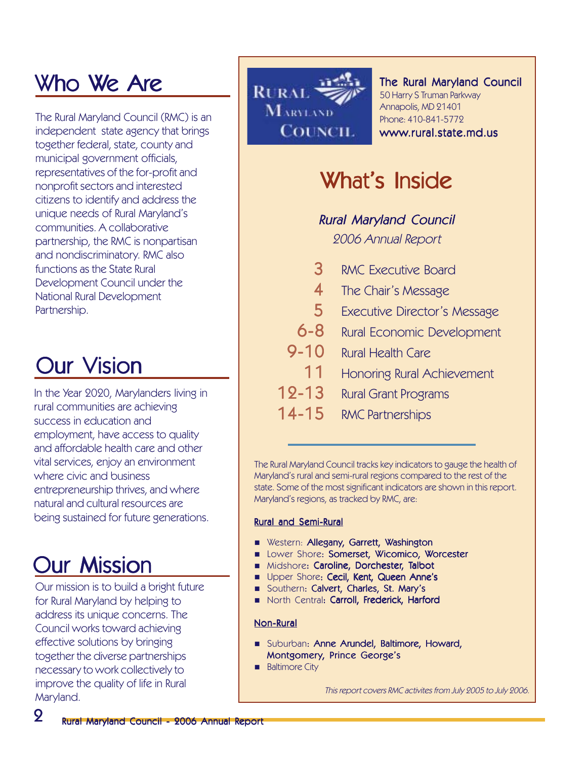# Who We Are

The Rural Maryland Council (RMC) is an independent state agency that brings together federal, state, county and municipal government officials, representatives of the for-profit and nonprofit sectors and interested citizens to identify and address the unique needs of Rural Maryland's communities. A collaborative partnership, the RMC is nonpartisan and nondiscriminatory. RMC also functions as the State Rural Development Council under the National Rural Development Partnership.

# **Our Vision**

In the Year 2020, Marylanders living in rural communities are achieving success in education and employment, have access to quality and affordable health care and other vital services, enjoy an environment where civic and business entrepreneurship thrives, and where natural and cultural resources are being sustained for future generations.

## **Our Mission**

Our mission is to build a bright future for Rural Maryland by helping to address its unique concerns. The Council works toward achieving effective solutions by bringing together the diverse partnerships necessary to work collectively to improve the quality of life in Rural Maryland.



#### The Rural Maryland Council 50 Harry S Truman Parkway Annapolis, MD 21401 Phone: 410-841-5772 www.rural.state.md.us

# What's Inside

### **Rural Maryland Council**

2006 Annual Report

- 3 RMC Executive Board
- 4 The Chair's Message
- 5 Executive Director's Message
- 6-8 Rural Economic Development
- 9-10 Rural Health Care
	- 11 Honoring Rural Achievement
- 12-13 Rural Grant Programs
- 14-15 RMC Partnerships

The Rural Maryland Council tracks key indicators to gauge the health of Maryland's rural and semi-rural regions compared to the rest of the state. Some of the most significant indicators are shown in this report. Maryland's regions, as tracked by RMC, are:

#### **Rural and Semi-Rural**

- **Nestern: Allegany, Garrett, Washington**
- **Lower Shore: Somerset, Wicomico, Worcester**
- Midshore: Caroline, Dorchester, Talbot
- **Upper Shore: Cecil, Kent, Queen Anne's**
- Southern: Calvert, Charles, St. Mary's
- North Central: Carroll, Frederick, Harford

#### Non-Rural

- **B** Suburban: Anne Arundel, Baltimore, Howard, Montgomery, Prince George's
- **Baltimore City**

This report covers RMC activites from July 2005 to July 2006.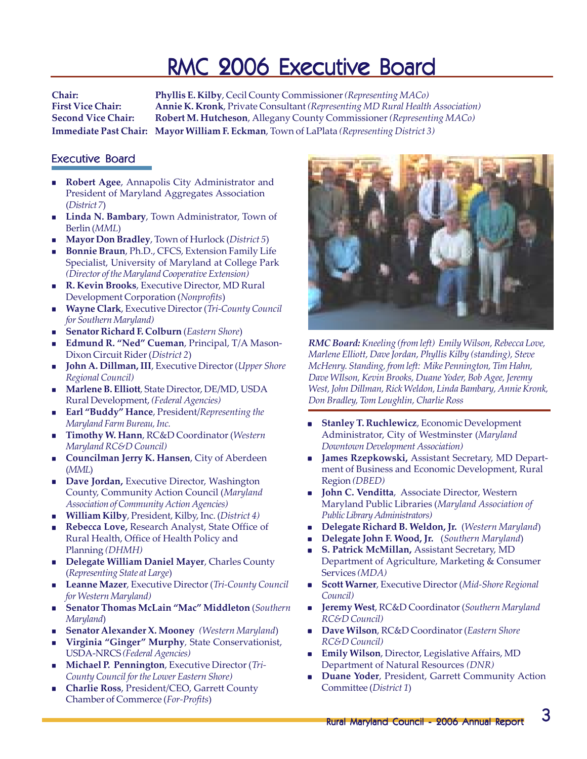### RMC 2006 Executive Board

**Chair: Phyllis E. Kilby**, Cecil County Commissioner *(Representing MACo)* **First Vice Chair: Annie K. Kronk**, Private Consultant *(Representing MD Rural Health Association)* **Second Vice Chair: Robert M. Hutcheson**, Allegany County Commissioner *(Representing MACo)* **Immediate Past Chair: Mayor William F. Eckman**, Town of LaPlata *(Representing District 3)*

#### Executive Board

- **Robert Agee**, Annapolis City Administrator and President of Maryland Aggregates Association (*District 7*)
- **Linda N. Bambary**, Town Administrator, Town of Berlin (*MML*)
- **Mayor Don Bradley**, Town of Hurlock (*District 5*)
- **Bonnie Braun**, Ph.D., CFCS, Extension Family Life Specialist, University of Maryland at College Park *(Director of the Maryland Cooperative Extension)*
- **R. Kevin Brooks**, Executive Director, MD Rural Development Corporation (*Nonprofits*)
- **Wayne Clark**, Executive Director (*Tri-County Council for Southern Maryland)*
- **Senator Richard F. Colburn** (*Eastern Shore*)
- **Edmund R. "Ned" Cueman**, Principal, T/A Mason-Dixon Circuit Rider (*District 2*)
- **John A. Dillman, III**, Executive Director (*Upper Shore Regional Council)*
- **Marlene B. Elliott***,* State Director, DE/MD, USDA Rural Development, *(Federal Agencies)*
- **Earl "Buddy" Hance**, President/*Representing the Maryland Farm Bureau, Inc.*
- **Timothy W. Hann**, RC&D Coordinator (*Western Maryland RC&D Council)*
- **Councilman Jerry K. Hansen**, City of Aberdeen (*MML*)
- **Dave Jordan, Executive Director, Washington** County, Community Action Council (*Maryland Association of Community Action Agencies)*
- **William Kilby**, President, Kilby, Inc. (*District 4)*
- **Rebecca Love,** Research Analyst, State Office of Rural Health, Office of Health Policy and Planning *(DHMH)*
- **Delegate William Daniel Mayer**, Charles County (*Representing State at Large*)
- **Leanne Mazer**, Executive Director (*Tri-County Council for Western Maryland)*
- **Senator Thomas McLain "Mac" Middleton** (*Southern Maryland*)
- **Senator Alexander X. Mooney** *(Western Maryland*)
- **Virginia "Ginger" Murphy***,* State Conservationist, USDA-NRCS *(Federal Agencies)*
- **Michael P. Pennington**, Executive Director (*Tri-County Council for the Lower Eastern Shore)*
- **Charlie Ross**, President/CEO, Garrett County Chamber of Commerce (*For-Profits*)



*RMC Board: Kneeling (from left) Emily Wilson, Rebecca Love, Marlene Elliott, Dave Jordan, Phyllis Kilby (standing), Steve McHenry. Standing, from left: Mike Pennington, Tim Hahn, Dave WIlson, Kevin Brooks, Duane Yoder, Bob Agee, Jeremy West, John Dillman, Rick Weldon, Linda Bambary, Annie Kronk, Don Bradley, Tom Loughlin, Charlie Ross*

- **Stanley T. Ruchlewicz**, Economic Development Administrator, City of Westminster (*Maryland Downtown Development Association)*
- **James Rzepkowski,** Assistant Secretary, MD Department of Business and Economic Development, Rural Region *(DBED)*
- **John C. Venditta**, Associate Director, Western Maryland Public Libraries (*Maryland Association of Public Library Administrators)*
- **Delegate Richard B. Weldon, Jr.** (*Western Maryland*)
- **Delegate John F. Wood, Jr.** (*Southern Maryland*)
- **S. Patrick McMillan,** Assistant Secretary, MD Department of Agriculture, Marketing & Consumer Services *(MDA)*
- **Scott Warner**, Executive Director (*Mid-Shore Regional Council)*
- **Jeremy West**, RC&D Coordinator (*Southern Maryland RC&D Council)*
- **Dave Wilson**, RC&D Coordinator (*Eastern Shore RC&D Council)*
- **Emily Wilson**, Director, Legislative Affairs, MD Department of Natural Resources *(DNR)*
- **Duane Yoder**, President, Garrett Community Action Committee (*District 1*)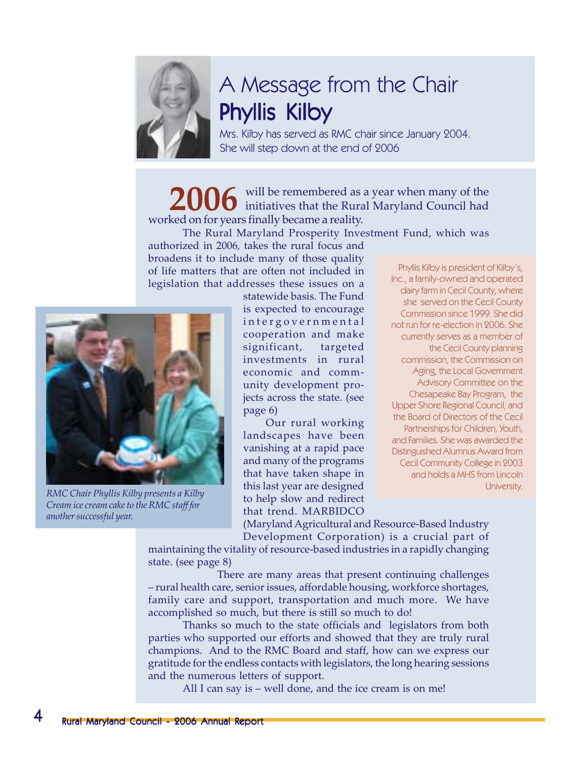

# A Message from the Chair Phyllis Kilby

Mrs. Kilby has served as RMC chair since January 2004. She will step down at the end of 2006

will be remembered as a year when many of the 2006 will be remembered as a year when many of the initiatives that the Rural Maryland Council had worked on for years finally became a reality.

The Rural Maryland Prosperity Investment Fund, which was authorized in 2006, takes the rural focus and broadens it to include many of those quality of life matters that are often not included in legislation that addresses these issues on a



*RMC Chair Phyllis Kilby presents a Kilby Cream ice cream cake to the RMC staff for another successful year.*

statewide basis. The Fund is expected to encourage intergovernmental cooperation and make significant, targeted investments in rural economic and community development projects across the state. (see page 6)

 Our rural working landscapes have been vanishing at a rapid pace and many of the programs that have taken shape in this last year are designed to help slow and redirect that trend. MARBIDCO

Phyllis Kilby is president of Kilby's, Inc., a family-owned and operated dairy farm in Cecil County, where she served on the Cecil County Commission since 1999. She did not run for re-election in 2006. She currently serves as a member of the Cecil County planning commission, the Commission on Aging, the Local Government Advisory Committee on the Chesapeake Bay Program, the Upper Shore Regional Council, and the Board of Directors of the Cecil Partnerships for Children, Youth, and Families. She was awarded the Distinguished Alumnus Award from Cecil Community College in 2003 and holds a MHS from Lincoln University.

(Maryland Agricultural and Resource-Based Industry Development Corporation) is a crucial part of maintaining the vitality of resource-based industries in a rapidly changing

state. (see page 8)

There are many areas that present continuing challenges – rural health care, senior issues, affordable housing, workforce shortages, family care and support, transportation and much more. We have accomplished so much, but there is still so much to do!

Thanks so much to the state officials and legislators from both parties who supported our efforts and showed that they are truly rural champions. And to the RMC Board and staff, how can we express our gratitude for the endless contacts with legislators, the long hearing sessions and the numerous letters of support.

All I can say is – well done, and the ice cream is on me!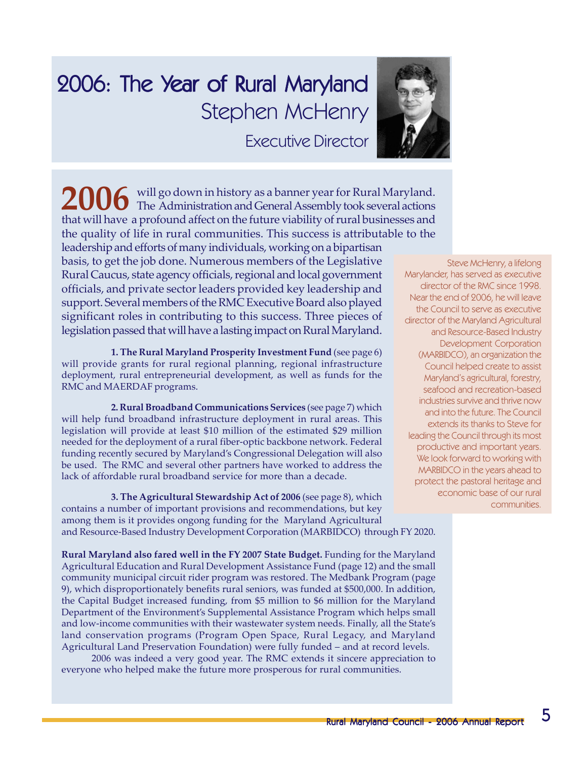# 2006: The Year of Rural Maryland Stephen McHenry Executive Director



will go down in history as a banner year for Rural Maryland. 2006 will go down in history as a banner year for Rural Maryland.<br> **2006** The Administration and General Assembly took several actions that will have a profound affect on the future viability of rural businesses and the quality of life in rural communities. This success is attributable to the leadership and efforts of many individuals, working on a bipartisan basis, to get the job done. Numerous members of the Legislative Rural Caucus, state agency officials, regional and local government officials, and private sector leaders provided key leadership and support. Several members of the RMC Executive Board also played significant roles in contributing to this success. Three pieces of legislation passed that will have a lasting impact on Rural Maryland.

**1. The Rural Maryland Prosperity Investment Fund** (see page 6) will provide grants for rural regional planning, regional infrastructure deployment, rural entrepreneurial development, as well as funds for the RMC and MAERDAF programs.

**2. Rural Broadband Communications Services** (see page 7) which will help fund broadband infrastructure deployment in rural areas. This legislation will provide at least \$10 million of the estimated \$29 million needed for the deployment of a rural fiber-optic backbone network. Federal funding recently secured by Maryland's Congressional Delegation will also be used. The RMC and several other partners have worked to address the lack of affordable rural broadband service for more than a decade.

**3. The Agricultural Stewardship Act of 2006** (see page 8), which contains a number of important provisions and recommendations, but key among them is it provides ongong funding for the Maryland Agricultural and Resource-Based Industry Development Corporation (MARBIDCO) through FY 2020.

**Rural Maryland also fared well in the FY 2007 State Budget.** Funding for the Maryland Agricultural Education and Rural Development Assistance Fund (page 12) and the small community municipal circuit rider program was restored. The Medbank Program (page 9), which disproportionately benefits rural seniors, was funded at \$500,000. In addition, the Capital Budget increased funding, from \$5 million to \$6 million for the Maryland Department of the Environment's Supplemental Assistance Program which helps small and low-income communities with their wastewater system needs. Finally, all the State's land conservation programs (Program Open Space, Rural Legacy, and Maryland Agricultural Land Preservation Foundation) were fully funded – and at record levels.

2006 was indeed a very good year. The RMC extends it sincere appreciation to everyone who helped make the future more prosperous for rural communities.

Steve McHenry, a lifelong Marylander, has served as executive director of the RMC since 1998. Near the end of 2006, he will leave the Council to serve as executive director of the Maryland Agricultural and Resource-Based Industry Development Corporation (MARBIDCO), an organization the Council helped create to assist Maryland's agricultural, forestry, seafood and recreation-based industries survive and thrive now and into the future. The Council extends its thanks to Steve for leading the Council through its most productive and important years. We look forward to working with MARBIDCO in the years ahead to protect the pastoral heritage and economic base of our rural communities.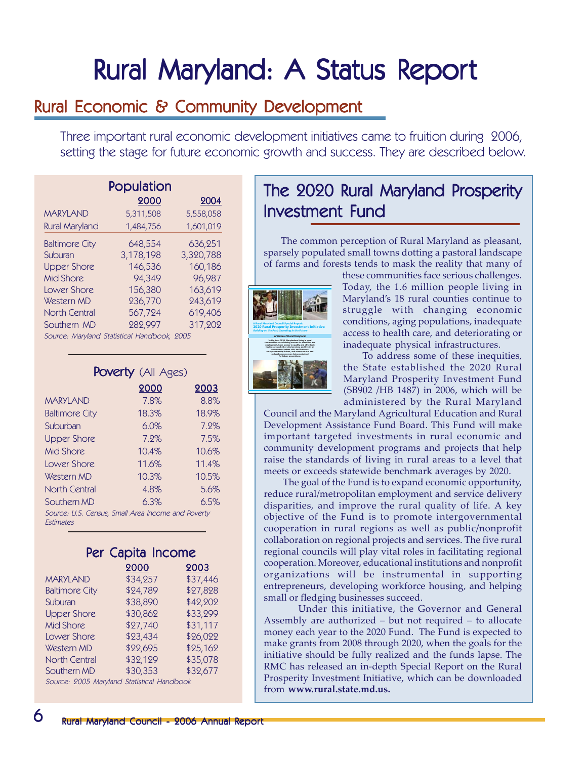# Rural Maryland: A Status Report

### Rural Economic & Community Development

Three important rural economic development initiatives came to fruition during 2006, setting the stage for future economic growth and success. They are described below.

| Population                                  |           |           |  |
|---------------------------------------------|-----------|-----------|--|
|                                             | 2000      | 2004      |  |
| <b>MARYLAND</b>                             | 5,311,508 | 5,558,058 |  |
| <b>Rural Maryland</b>                       | 1,484,756 | 1,601,019 |  |
| <b>Baltimore City</b>                       | 648,554   | 636,251   |  |
| Suburan                                     | 3,178,198 | 3,320,788 |  |
| <b>Upper Shore</b>                          | 146,536   | 160,186   |  |
| Mid Shore                                   | 94,349    | 96,987    |  |
| Lower Shore                                 | 156,380   | 163,619   |  |
| Western MD                                  | 236,770   | 243,619   |  |
| <b>North Central</b>                        | 567,724   | 619,406   |  |
| Southern MD                                 | 282,997   | 317,202   |  |
| Source: Maryland Statistical Handbook, 2005 |           |           |  |

Poverty (All Ages)

| <b>POVEITY</b> (All Ages)                                              |       |       |  |
|------------------------------------------------------------------------|-------|-------|--|
|                                                                        | 2000  | 2003  |  |
| <b>MARYLAND</b>                                                        | 7.8%  | 8.8%  |  |
| <b>Baltimore City</b>                                                  | 18.3% | 18.9% |  |
| Suburban                                                               | 6.0%  | 7.2%  |  |
| <b>Upper Shore</b>                                                     | 7.2%  | 7.5%  |  |
| Mid Shore                                                              | 10.4% | 10.6% |  |
| Lower Shore                                                            | 11.6% | 11.4% |  |
| Western MD                                                             | 10.3% | 10.5% |  |
| North Central                                                          | 4.8%  | 5.6%  |  |
| Southern MD                                                            | 6.3%  | 6.5%  |  |
| Source: U.S. Census, Small Area Income and Poverty<br><b>Fstimates</b> |       |       |  |

|      | Per Capita Income    |  |
|------|----------------------|--|
| 0000 | $\sim$ $\sim$ $\sim$ |  |

|                                            | 2000     | 2003     |
|--------------------------------------------|----------|----------|
| <b>MARYLAND</b>                            | \$34,257 | \$37,446 |
| <b>Baltimore City</b>                      | \$24,789 | \$27,828 |
| Suburan                                    | \$38,890 | \$42,202 |
| <b>Upper Shore</b>                         | \$30,862 | \$33,299 |
| <b>Mid Shore</b>                           | \$27,740 | \$31,117 |
| Lower Shore                                | \$23,434 | \$26,022 |
| Western MD                                 | \$22,695 | \$25,162 |
| <b>North Central</b>                       | \$32,129 | \$35,078 |
| Southern MD                                | \$30,353 | \$32,677 |
| Source: 2005 Maryland Statistical Handbook |          |          |

The 2020 Rural Maryland Prosperity Investment Fund

The common perception of Rural Maryland as pleasant, sparsely populated small towns dotting a pastoral landscape of farms and forests tends to mask the reality that many of



these communities face serious challenges. Today, the 1.6 million people living in Maryland's 18 rural counties continue to struggle with changing economic conditions, aging populations, inadequate access to health care, and deteriorating or inadequate physical infrastructures.

To address some of these inequities, the State established the 2020 Rural Maryland Prosperity Investment Fund (SB902 /HB 1487) in 2006, which will be administered by the Rural Maryland

Council and the Maryland Agricultural Education and Rural Development Assistance Fund Board. This Fund will make important targeted investments in rural economic and community development programs and projects that help raise the standards of living in rural areas to a level that meets or exceeds statewide benchmark averages by 2020.

The goal of the Fund is to expand economic opportunity, reduce rural/metropolitan employment and service delivery disparities, and improve the rural quality of life. A key objective of the Fund is to promote intergovernmental cooperation in rural regions as well as public/nonprofit collaboration on regional projects and services. The five rural regional councils will play vital roles in facilitating regional cooperation. Moreover, educational institutions and nonprofit organizations will be instrumental in supporting entrepreneurs, developing workforce housing, and helping small or fledging businesses succeed.

Under this initiative, the Governor and General Assembly are authorized – but not required – to allocate money each year to the 2020 Fund. The Fund is expected to make grants from 2008 through 2020, when the goals for the initiative should be fully realized and the funds lapse. The RMC has released an in-depth Special Report on the Rural Prosperity Investment Initiative, which can be downloaded from **www.rural.state.md.us.**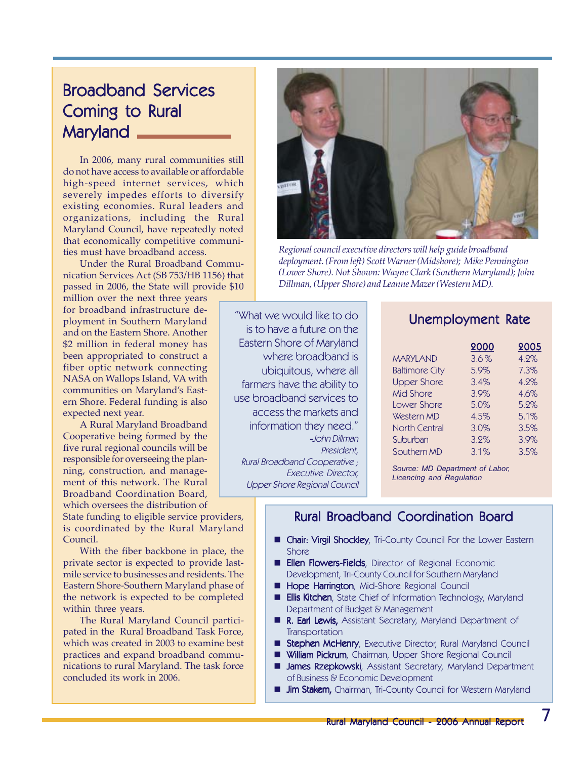### **Broadband Services** Coming to Rural Maryland

In 2006, many rural communities still do not have access to available or affordable high-speed internet services, which severely impedes efforts to diversify existing economies. Rural leaders and organizations, including the Rural Maryland Council, have repeatedly noted that economically competitive communities must have broadband access.

Under the Rural Broadband Communication Services Act (SB 753/HB 1156) that passed in 2006, the State will provide \$10

million over the next three years for broadband infrastructure deployment in Southern Maryland and on the Eastern Shore. Another \$2 million in federal money has been appropriated to construct a fiber optic network connecting NASA on Wallops Island, VA with communities on Maryland's Eastern Shore. Federal funding is also expected next year.

A Rural Maryland Broadband Cooperative being formed by the five rural regional councils will be responsible for overseeing the planning, construction, and management of this network. The Rural Broadband Coordination Board, which oversees the distribution of

State funding to eligible service providers, is coordinated by the Rural Maryland Council.

With the fiber backbone in place, the private sector is expected to provide lastmile service to businesses and residents. The Eastern Shore-Southern Maryland phase of the network is expected to be completed within three years.

The Rural Maryland Council participated in the Rural Broadband Task Force, which was created in 2003 to examine best practices and expand broadband communications to rural Maryland. The task force concluded its work in 2006.



*Regional council executive directors will help guide broadband deployment. (From left) Scott Warner (Midshore); Mike Pennington (Lower Shore). Not Shown: Wayne Clark (Southern Maryland); John Dillman, (Upper Shore) and Leanne Mazer (Western MD).*

"What we would like to do is to have a future on the Eastern Shore of Maryland where broadband is ubiquitous, where all farmers have the ability to use broadband services to access the markets and information they need." -John Dillman President, Rural Broadband Cooperative ; Executive Director,

Upper Shore Regional Council

### Unemployment Rate

|                       | 2000 | 2005 |
|-----------------------|------|------|
| <b>MARYLAND</b>       | 3.6% | 4.2% |
| <b>Baltimore City</b> | 5.9% | 7.3% |
| <b>Upper Shore</b>    | 3.4% | 4.2% |
| <b>Mid Shore</b>      | 3.9% | 4.6% |
| Lower Shore           | 5.0% | 5.2% |
| Western MD            | 4.5% | 5.1% |
| <b>North Central</b>  | 3.0% | 3.5% |
| Suburban              | 3.2% | 3.9% |
| Southern MD           | 3.1% | 3.5% |

*Source: MD Department of Labor, Licencing and Regulation*

### Rural Broadband Coordination Board

- **E** Chair: Virgil Shockley, Tri-County Council For the Lower Eastern **Shore**
- **Ellen Flowers-Fields**, Director of Regional Economic Development, Tri-County Council for Southern Maryland
- Hope Harrington, Mid-Shore Regional Council
- **Ellis Kitchen**, State Chief of Information Technology, Maryland Department of Budget & Management
- R. Earl Lewis, Assistant Secretary, Maryland Department of **Transportation**
- Stephen McHenry, Executive Director, Rural Maryland Council
- William Pickrum, Chairman, Upper Shore Regional Council
- **James Rzepkowski**, Assistant Secretary, Maryland Department of Business & Economic Development
- **Jim Stakem, Chairman, Tri-County Council for Western Maryland**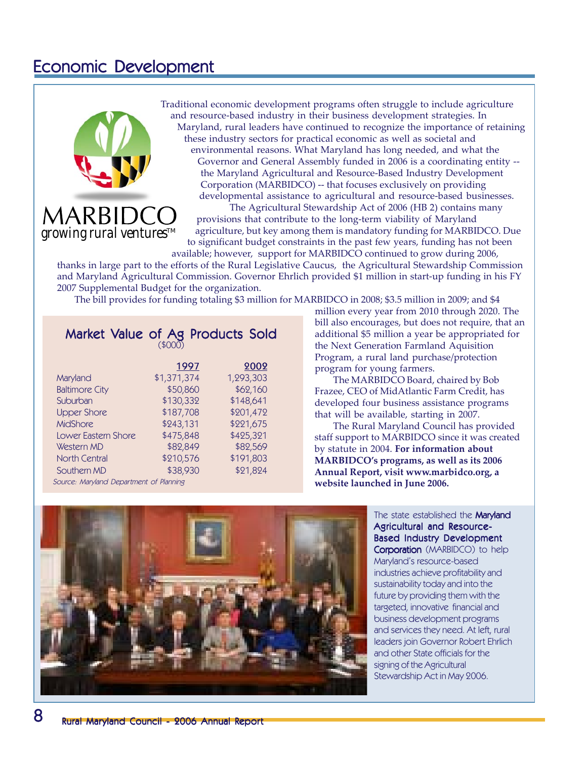### Economic Development



Traditional economic development programs often struggle to include agriculture and resource-based industry in their business development strategies. In Maryland, rural leaders have continued to recognize the importance of retaining these industry sectors for practical economic as well as societal and environmental reasons. What Maryland has long needed, and what the Governor and General Assembly funded in 2006 is a coordinating entity - the Maryland Agricultural and Resource-Based Industry Development Corporation (MARBIDCO) -- that focuses exclusively on providing developmental assistance to agricultural and resource-based businesses.

The Agricultural Stewardship Act of 2006 (HB 2) contains many provisions that contribute to the long-term viability of Maryland agriculture, but key among them is mandatory funding for MARBIDCO. Due to significant budget constraints in the past few years, funding has not been available; however, support for MARBIDCO continued to grow during 2006,

thanks in large part to the efforts of the Rural Legislative Caucus, the Agricultural Stewardship Commission and Maryland Agricultural Commission. Governor Ehrlich provided \$1 million in start-up funding in his FY 2007 Supplemental Budget for the organization.

The bill provides for funding totaling \$3 million for MARBIDCO in 2008; \$3.5 million in 2009; and \$4

#### Market Value of Ag Products Sold (\$000)

|                       | 1997        | 2002      |
|-----------------------|-------------|-----------|
| Maryland              | \$1,371,374 | 1,293,303 |
| <b>Baltimore City</b> | \$50,860    | \$62,160  |
| Suburban              | \$130,332   | \$148,641 |
| <b>Upper Shore</b>    | \$187,708   | \$201,472 |
| <b>MidShore</b>       | \$243,131   | \$221,675 |
| Lower Eastern Shore   | \$475,848   | \$425,321 |
| Western MD            | \$82,849    | \$82,569  |
| North Central         | \$210,576   | \$191,803 |
| Southern MD           | \$38,930    | \$21,824  |

Source: Maryland Department of Planning

million every year from 2010 through 2020. The bill also encourages, but does not require, that an additional \$5 million a year be appropriated for the Next Generation Farmland Aquisition Program, a rural land purchase/protection program for young farmers.

The MARBIDCO Board, chaired by Bob Frazee, CEO of MidAtlantic Farm Credit, has developed four business assistance programs that will be available, starting in 2007.

The Rural Maryland Council has provided staff support to MARBIDCO since it was created by statute in 2004. **For information about MARBIDCO's programs, as well as its 2006 Annual Report, visit www.marbidco.org, a website launched in June 2006.**



The state established the **Maryland** Agricultural and Resource-Based Industry Development Corporation (MARBIDCO) to help Maryland's resource-based industries achieve profitability and sustainability today and into the future by providing them with the targeted, innovative financial and business development programs and services they need. At left, rural leaders join Governor Robert Ehrlich and other State officials for the signing of the Agricultural Stewardship Act in May 2006.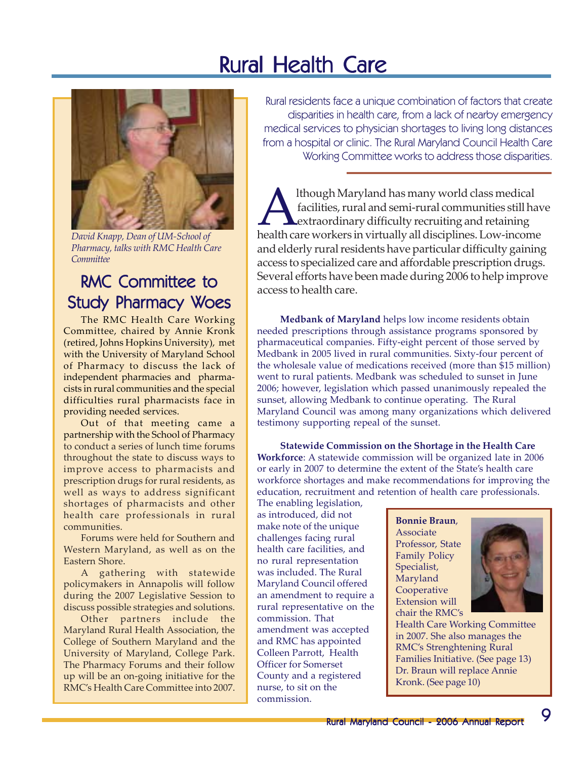# **Rural Health Care**



*David Knapp, Dean of UM-School of Pharmacy, talks with RMC Health Care Committee*

### RMC Committee to Study Pharmacy Woes

The RMC Health Care Working Committee, chaired by Annie Kronk (retired, Johns Hopkins University), met with the University of Maryland School of Pharmacy to discuss the lack of independent pharmacies and pharmacists in rural communities and the special difficulties rural pharmacists face in providing needed services.

Out of that meeting came a partnership with the School of Pharmacy to conduct a series of lunch time forums throughout the state to discuss ways to improve access to pharmacists and prescription drugs for rural residents, as well as ways to address significant shortages of pharmacists and other health care professionals in rural communities.

Forums were held for Southern and Western Maryland, as well as on the Eastern Shore.

A gathering with statewide policymakers in Annapolis will follow during the 2007 Legislative Session to discuss possible strategies and solutions.

Other partners include the Maryland Rural Health Association, the College of Southern Maryland and the University of Maryland, College Park. The Pharmacy Forums and their follow up will be an on-going initiative for the RMC's Health Care Committee into 2007.

Rural residents face a unique combination of factors that create disparities in health care, from a lack of nearby emergency medical services to physician shortages to living long distances from a hospital or clinic. The Rural Maryland Council Health Care Working Committee works to address those disparities.

Although Maryland has many world class medical<br>facilities, rural and semi-rural communities still have<br>health care workers in virtually all disciplines. Low-income facilities, rural and semi-rural communities still have extraordinary difficulty recruiting and retaining and elderly rural residents have particular difficulty gaining access to specialized care and affordable prescription drugs. Several efforts have been made during 2006 to help improve access to health care.

**Medbank of Maryland** helps low income residents obtain needed prescriptions through assistance programs sponsored by pharmaceutical companies. Fifty-eight percent of those served by Medbank in 2005 lived in rural communities. Sixty-four percent of the wholesale value of medications received (more than \$15 million) went to rural patients. Medbank was scheduled to sunset in June 2006; however, legislation which passed unanimously repealed the sunset, allowing Medbank to continue operating. The Rural Maryland Council was among many organizations which delivered testimony supporting repeal of the sunset.

**Statewide Commission on the Shortage in the Health Care Workforce**: A statewide commission will be organized late in 2006 or early in 2007 to determine the extent of the State's health care workforce shortages and make recommendations for improving the education, recruitment and retention of health care professionals.

The enabling legislation, as introduced, did not make note of the unique challenges facing rural health care facilities, and no rural representation was included. The Rural Maryland Council offered an amendment to require a rural representative on the commission. That amendment was accepted and RMC has appointed Colleen Parrott, Health Officer for Somerset County and a registered nurse, to sit on the commission.

**Bonnie Braun**, Associate Professor, State Family Policy Specialist, Maryland Cooperative Extension will chair the RMC's



Health Care Working Committee in 2007. She also manages the RMC's Strenghtening Rural Families Initiative. (See page 13) Dr. Braun will replace Annie Kronk. (See page 10)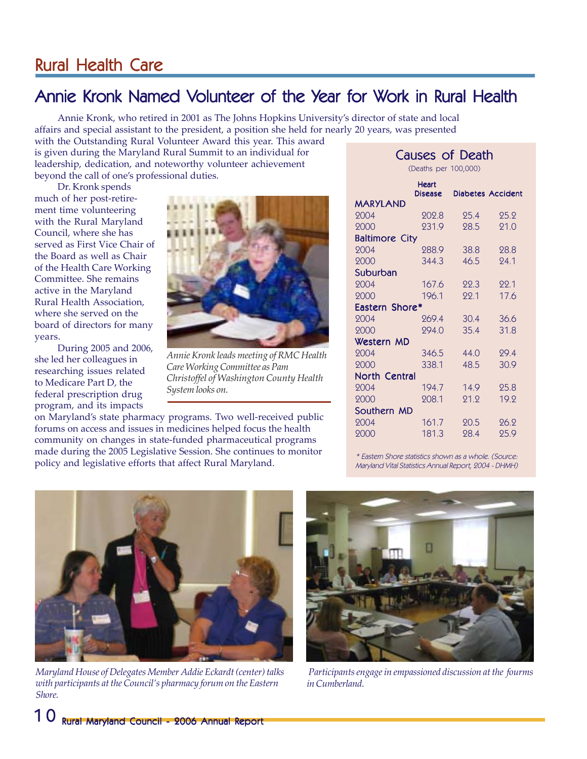### Rural Health Care

### Annie Kronk Named Volunteer of the Year for Work in Rural Health

Annie Kronk, who retired in 2001 as The Johns Hopkins University's director of state and local affairs and special assistant to the president, a position she held for nearly 20 years, was presented with the Outstanding Rural Volunteer Award this year. This award

is given during the Maryland Rural Summit to an individual for leadership, dedication, and noteworthy volunteer achievement beyond the call of one's professional duties.

Dr. Kronk spends much of her post-retirement time volunteering with the Rural Maryland Council, where she has served as First Vice Chair of the Board as well as Chair of the Health Care Working Committee. She remains active in the Maryland Rural Health Association, where she served on the board of directors for many years.

During 2005 and 2006, she led her colleagues in researching issues related to Medicare Part D, the federal prescription drug program, and its impacts



*Annie Kronk leads meeting of RMC Health Care Working Committee as Pam Christoffel of Washington County Health System looks on.*

on Maryland's state pharmacy programs. Two well-received public forums on access and issues in medicines helped focus the health community on changes in state-funded pharmaceutical programs made during the 2005 Legislative Session. She continues to monitor policy and legislative efforts that affect Rural Maryland.

| Causes of Death       |                      |      |                          |  |
|-----------------------|----------------------|------|--------------------------|--|
|                       | (Deaths per 100,000) |      |                          |  |
|                       | <b>Heart</b>         |      |                          |  |
| MARYLAND              | <b>Disease</b>       |      | <b>Diabetes Accident</b> |  |
| 2004                  | 202.8                | 25.4 | 25.2                     |  |
| 2000                  | 231.9                | 98.5 | 91.0                     |  |
| <b>Baltimore City</b> |                      |      |                          |  |
| 2004                  | 288.9                | 38.8 | 28.8                     |  |
| 2000                  | 344.3                | 46.5 | 24.1                     |  |
| Suburban              |                      |      |                          |  |
| 2004                  | 167.6                | 22.3 | 22.1                     |  |
| 2000                  | 196.1                | 22.1 | 17.6                     |  |
| Eastern Shore*        |                      |      |                          |  |
| 2004                  | 269.4                | 30.4 | 36.6                     |  |
| 2000                  | 294.0                | 35.4 | 31.8                     |  |
| Western MD            |                      |      |                          |  |
| 2004                  | 346.5                | 44.0 | 29.4                     |  |
| 2000                  | 338.1                | 48.5 | 30.9                     |  |
| <b>North Central</b>  |                      |      |                          |  |
| 2004                  | 194.7                | 14.9 | 25.8                     |  |
| 2000                  | 208.1                | 21.2 | 19.2                     |  |
| Southern MD           |                      |      |                          |  |
| 2004                  | 161.7                | 20.5 | 26.2                     |  |
| 2000                  | 181.3                | 28.4 | 25.9                     |  |
|                       |                      |      |                          |  |

\* Eastern Shore statistics shown as a whole. (Source: Maryland Vital Statistics Annual Report, 2004 - DHMH)



*Maryland House of Delegates Member Addie Eckardt (center) talks with participants at the Council's pharmacy forum on the Eastern Shore.*



 *Participants engage in empassioned discussion at the fourms in Cumberland.*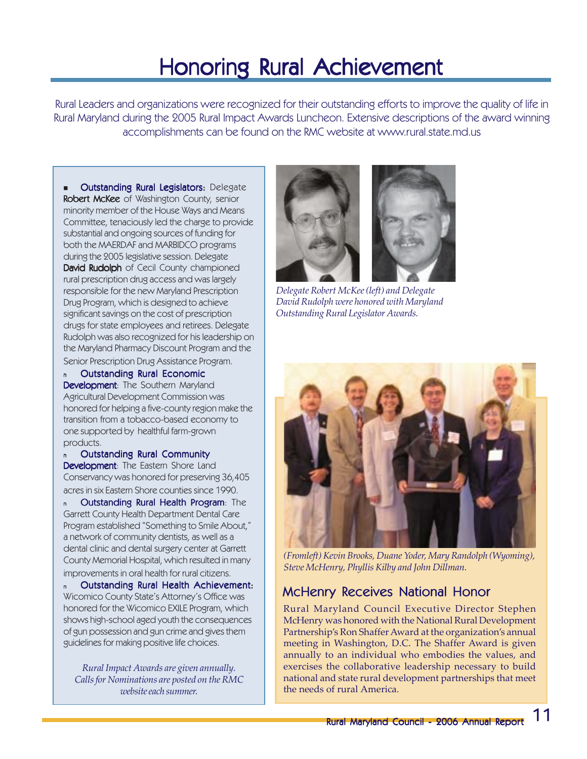# Honoring Rural Achievement

Rural Leaders and organizations were recognized for their outstanding efforts to improve the quality of life in Rural Maryland during the 2005 Rural Impact Awards Luncheon. Extensive descriptions of the award winning accomplishments can be found on the RMC website at www.rural.state.md.us

**Outstanding Rural Legislators: Delegate Robert McKee** of Washington County, senior minority member of the House Ways and Means Committee, tenaciously led the charge to provide substantial and ongoing sources of funding for both the MAERDAF and MARBIDCO programs during the 2005 legislative session. Delegate David Rudolph of Cecil County championed rural prescription drug access and was largely responsible for the new Maryland Prescription Drug Program, which is designed to achieve significant savings on the cost of prescription drugs for state employees and retirees. Delegate Rudolph was also recognized for his leadership on the Maryland Pharmacy Discount Program and the Senior Prescription Drug Assistance Program.

<sup>n</sup> Outstanding Rural Economic Development: The Southern Maryland Agricultural Development Commission was honored for helping a five-county region make the transition from a tobacco-based economy to one supported by healthful farm-grown products.

**Outstanding Rural Community** Development: The Eastern Shore Land Conservancy was honored for preserving 36,405 acres in six Eastern Shore counties since 1990.

<sup>n</sup> Outstanding Rural Health Program: The Garrett County Health Department Dental Care Program established "Something to Smile About," a network of community dentists, as well as a dental clinic and dental surgery center at Garrett County Memorial Hospital, which resulted in many improvements in oral health for rural citizens.

n Outstanding Rural Health Achievement: Wicomico County State's Attorney's Office was honored for the Wicomico EXILE Program, which shows high-school aged youth the consequences of gun possession and gun crime and gives them guidelines for making positive life choices.

*Rural Impact Awards are given annually. Calls for Nominations are posted on the RMC website each summer.*



*Delegate Robert McKee (left) and Delegate David Rudolph were honored with Maryland Outstanding Rural Legislator Awards.*



*(Fromleft) Kevin Brooks, Duane Yoder, Mary Randolph (Wyoming), Steve McHenry, Phyllis Kilby and John Dillman.*

### McHenry Receives National Honor

Rural Maryland Council Executive Director Stephen McHenry was honored with the National Rural Development Partnership's Ron Shaffer Award at the organization's annual meeting in Washington, D.C. The Shaffer Award is given annually to an individual who embodies the values, and exercises the collaborative leadership necessary to build national and state rural development partnerships that meet the needs of rural America.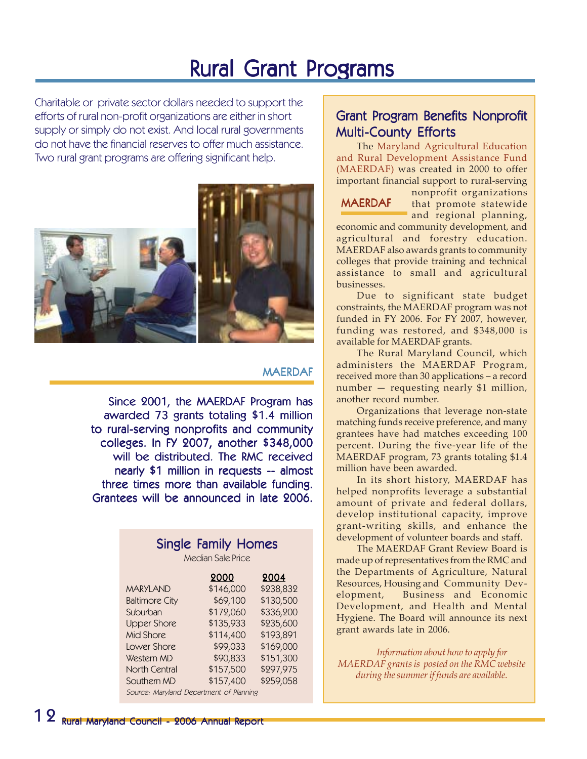### **Rural Grant Programs**

Charitable or private sector dollars needed to support the efforts of rural non-profit organizations are either in short supply or simply do not exist. And local rural governments do not have the financial reserves to offer much assistance. Two rural grant programs are offering significant help.



#### **MAFRDAF**

Since 2001, the MAERDAF Program has awarded 73 grants totaling \$1.4 million to rural-serving nonprofits and community colleges. In FY 2007, another \$348,000 will be distributed. The RMC received nearly \$1 million in requests -- almost three times more than available funding. Grantees will be announced in late 2006.

### Single Family Homes

Median Sale Price

|                                         | 2000      | 2004      |
|-----------------------------------------|-----------|-----------|
| <b>MARYLAND</b>                         | \$146,000 | \$238,832 |
| <b>Baltimore City</b>                   | \$69,100  | \$130,500 |
| Suburban                                | \$172,060 | \$336,200 |
| <b>Upper Shore</b>                      | \$135,933 | \$235,600 |
| Mid Shore                               | \$114,400 | \$193,891 |
| Lower Shore                             | \$99,033  | \$169,000 |
| Western MD                              | \$90,833  | \$151,300 |
| North Central                           | \$157,500 | \$297,975 |
| Southern MD                             | \$157,400 | \$259,058 |
| Source: Maryland Department of Planning |           |           |

### Grant Program Benefits Nonprofit Grant Program Benefits Nonprofit **Multi-County Efforts**

The Maryland Agricultural Education and Rural Development Assistance Fund (MAERDAF) was created in 2000 to offer important financial support to rural-serving

#### **MAERDAF**

nonprofit organizations that promote statewide and regional planning,

economic and community development, and agricultural and forestry education. MAERDAF also awards grants to community colleges that provide training and technical assistance to small and agricultural businesses.

Due to significant state budget constraints, the MAERDAF program was not funded in FY 2006. For FY 2007, however, funding was restored, and \$348,000 is available for MAERDAF grants.

The Rural Maryland Council, which administers the MAERDAF Program, received more than 30 applications – a record number — requesting nearly \$1 million, another record number.

Organizations that leverage non-state matching funds receive preference, and many grantees have had matches exceeding 100 percent. During the five-year life of the MAERDAF program, 73 grants totaling \$1.4 million have been awarded.

In its short history, MAERDAF has helped nonprofits leverage a substantial amount of private and federal dollars, develop institutional capacity, improve grant-writing skills, and enhance the development of volunteer boards and staff.

The MAERDAF Grant Review Board is made up of representatives from the RMC and the Departments of Agriculture, Natural Resources, Housing and Community Development, Business and Economic Development, and Health and Mental Hygiene. The Board will announce its next grant awards late in 2006.

*Information about how to apply for MAERDAF grants is posted on the RMC website during the summer if funds are available.*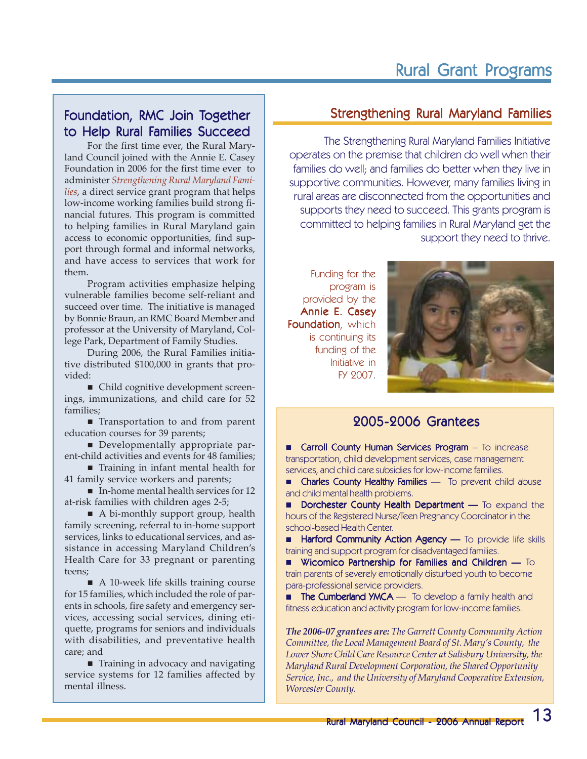### Foundation, RMC Join Together to Help Rural Families Succeed

For the first time ever, the Rural Maryland Council joined with the Annie E. Casey Foundation in 2006 for the first time ever to administer *Strengthening Rural Maryland Families*, a direct service grant program that helps low-income working families build strong financial futures. This program is committed to helping families in Rural Maryland gain access to economic opportunities, find support through formal and informal networks, and have access to services that work for them.

Program activities emphasize helping vulnerable families become self-reliant and succeed over time. The initiative is managed by Bonnie Braun, an RMC Board Member and professor at the University of Maryland, College Park, Department of Family Studies.

During 2006, the Rural Families initiative distributed \$100,000 in grants that provided:

■ Child cognitive development screenings, immunizations, and child care for 52 families;

■ Transportation to and from parent education courses for 39 parents;

Developmentally appropriate parent-child activities and events for 48 families;

■ Training in infant mental health for 41 family service workers and parents;

■ In-home mental health services for 12 at-risk families with children ages 2-5;

A bi-monthly support group, health family screening, referral to in-home support services, links to educational services, and assistance in accessing Maryland Children's Health Care for 33 pregnant or parenting teens;

A 10-week life skills training course for 15 families, which included the role of parents in schools, fire safety and emergency services, accessing social services, dining etiquette, programs for seniors and individuals with disabilities, and preventative health care; and

■ Training in advocacy and navigating service systems for 12 families affected by mental illness.

### Strengthening Rural Maryland Families

The Strengthening Rural Maryland Families Initiative operates on the premise that children do well when their families do well; and families do better when they live in supportive communities. However, many families living in rural areas are disconnected from the opportunities and supports they need to succeed. This grants program is committed to helping families in Rural Maryland get the support they need to thrive.

Funding for the program is provided by the Annie E. Casey Foundation, which is continuing its funding of the Initiative in FY 2007.



#### 2005-2006 Grantees 2005-2006 Grantees

**E** Carroll County Human Services Program – To increase transportation, child development services, case management services, and child care subsidies for low-income families.

**E** Charles County Healthy Families — To prevent child abuse and child mental health problems.

Dorchester County Health Department — To expand the hours of the Registered Nurse/Teen Pregnancy Coordinator in the school-based Health Center.

**Harford Community Action Agency** — To provide life skills training and support program for disadvantaged families.

 $\blacksquare$  Wicomico Partnership for Families and Children  $\blacksquare$  To train parents of severely emotionally disturbed youth to become para-professional service providers.

**The Cumberland YMCA** — To develop a family health and fitness education and activity program for low-income families.

*The 2006-07 grantees are: The Garrett County Community Action Committee, the Local Management Board of St. Mary's County, the Lower Shore Child Care Resource Center at Salisbury University, the Maryland Rural Development Corporation, the Shared Opportunity Service, Inc., and the University of Maryland Cooperative Extension, Worcester County.*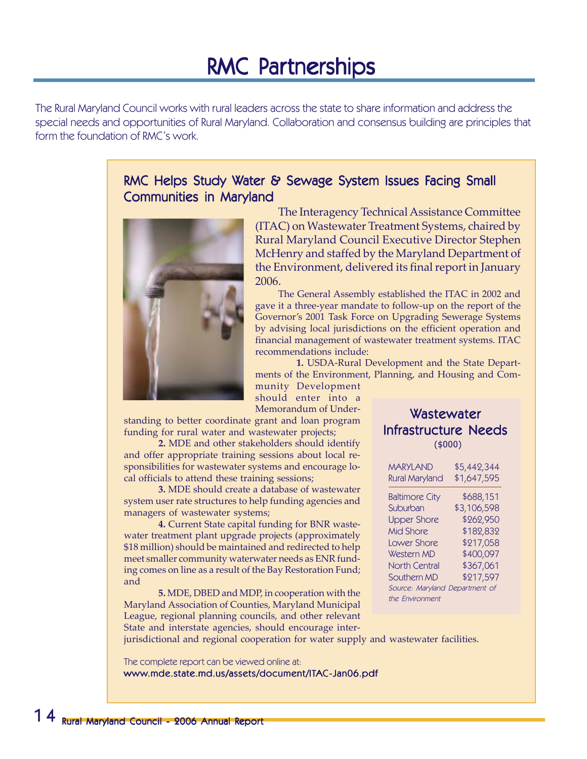### RMC Partnerships

The Rural Maryland Council works with rural leaders across the state to share information and address the special needs and opportunities of Rural Maryland. Collaboration and consensus building are principles that form the foundation of RMC's work.

### RMC Helps Study Water & Sewage System Issues Facing Small Communities in Maryland



The Interagency Technical Assistance Committee (ITAC) on Wastewater Treatment Systems, chaired by Rural Maryland Council Executive Director Stephen McHenry and staffed by the Maryland Department of the Environment, delivered its final report in January 2006.

The General Assembly established the ITAC in 2002 and gave it a three-year mandate to follow-up on the report of the Governor's 2001 Task Force on Upgrading Sewerage Systems by advising local jurisdictions on the efficient operation and financial management of wastewater treatment systems. ITAC recommendations include:

**1.** USDA-Rural Development and the State Departments of the Environment, Planning, and Housing and Com-

munity Development should enter into a Memorandum of Under-

standing to better coordinate grant and loan program funding for rural water and wastewater projects;

**2.** MDE and other stakeholders should identify and offer appropriate training sessions about local responsibilities for wastewater systems and encourage local officials to attend these training sessions;

**3.** MDE should create a database of wastewater system user rate structures to help funding agencies and managers of wastewater systems;

**4.** Current State capital funding for BNR wastewater treatment plant upgrade projects (approximately \$18 million) should be maintained and redirected to help meet smaller community waterwater needs as ENR funding comes on line as a result of the Bay Restoration Fund; and

**5.** MDE, DBED and MDP, in cooperation with the Maryland Association of Counties, Maryland Municipal League, regional planning councils, and other relevant State and interstate agencies, should encourage inter-

#### Wastewater Infrastructure Needs (\$000)

| <b>MARYLAND</b>                                   | \$5,442,344 |
|---------------------------------------------------|-------------|
| <b>Rural Maryland</b>                             | \$1,647,595 |
| <b>Baltimore City</b>                             | \$688,151   |
| Suburban                                          | \$3,106,598 |
| <b>Upper Shore</b>                                | \$262,950   |
| <b>Mid Shore</b>                                  | \$182,832   |
| Lower Shore                                       | \$217,058   |
| Western MD                                        | \$400,097   |
| <b>North Central</b>                              | \$367,061   |
| Southern MD                                       | \$217,597   |
| Source: Maryland Department of<br>the Fnvironment |             |

jurisdictional and regional cooperation for water supply and wastewater facilities.

The complete report can be viewed online at:

www.mde.state.md.us/assets/document/ITAC-Jan06.pdf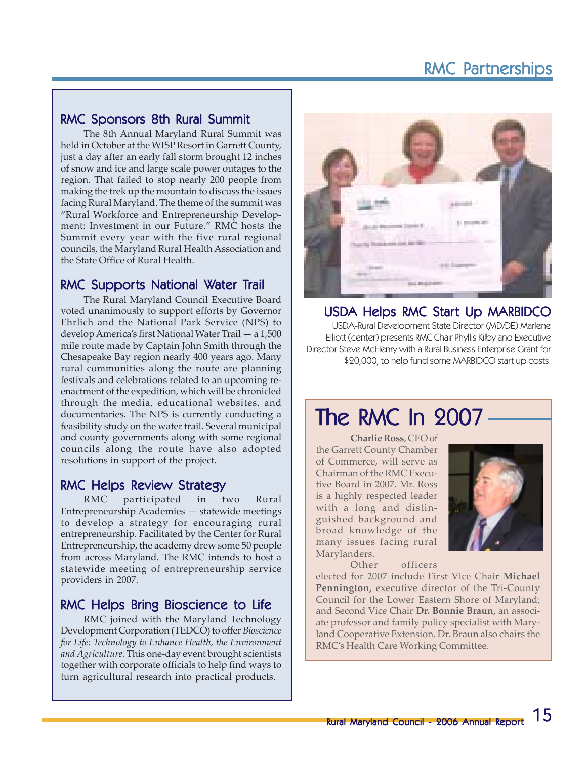### **RMC Partnerships**

#### RMC Sponsors 8th Rural Summit

The 8th Annual Maryland Rural Summit was held in October at the WISP Resort in Garrett County, just a day after an early fall storm brought 12 inches of snow and ice and large scale power outages to the region. That failed to stop nearly 200 people from making the trek up the mountain to discuss the issues facing Rural Maryland. The theme of the summit was "Rural Workforce and Entrepreneurship Development: Investment in our Future." RMC hosts the Summit every year with the five rural regional councils, the Maryland Rural Health Association and the State Office of Rural Health.

#### RMC Supports National Water Trail

The Rural Maryland Council Executive Board voted unanimously to support efforts by Governor Ehrlich and the National Park Service (NPS) to develop America's first National Water Trail — a 1,500 mile route made by Captain John Smith through the Chesapeake Bay region nearly 400 years ago. Many rural communities along the route are planning festivals and celebrations related to an upcoming reenactment of the expedition, which will be chronicled through the media, educational websites, and documentaries. The NPS is currently conducting a feasibility study on the water trail. Several municipal and county governments along with some regional councils along the route have also adopted resolutions in support of the project.

#### RMC Helps Review Strategy

RMC participated in two Rural Entrepreneurship Academies — statewide meetings to develop a strategy for encouraging rural entrepreneurship. Facilitated by the Center for Rural Entrepreneurship, the academy drew some 50 people from across Maryland. The RMC intends to host a statewide meeting of entrepreneurship service providers in 2007.

### RMC Helps Bring Bioscience to Life

RMC joined with the Maryland Technology Development Corporation (TEDCO) to offer *Bioscience for Life: Technology to Enhance Health, the Environment and Agriculture.* This one-day event brought scientists together with corporate officials to help find ways to turn agricultural research into practical products.



### USDA Helps RMC Start Up MARBIDCO

USDA-Rural Development State Director (MD/DE) Marlene Elliott (center) presents RMC Chair Phyllis Kilby and Executive Director Steve McHenry with a Rural Business Enterprise Grant for \$20,000, to help fund some MARBIDCO start up costs.

### The RMC In 2007

**Charlie Ross**, CEO of the Garrett County Chamber of Commerce, will serve as Chairman of the RMC Executive Board in 2007. Mr. Ross is a highly respected leader with a long and distinguished background and broad knowledge of the many issues facing rural Marylanders.



Other officers

elected for 2007 include First Vice Chair **Michael Pennington,** executive director of the Tri-County Council for the Lower Eastern Shore of Maryland; and Second Vice Chair **Dr. Bonnie Braun,** an associate professor and family policy specialist with Maryland Cooperative Extension. Dr. Braun also chairs the RMC's Health Care Working Committee.